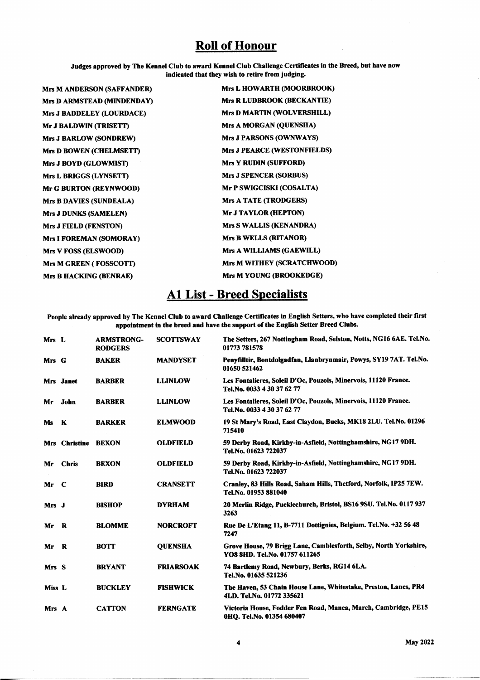## **Roll of Honour**

Judges approved by The Kennel Club to award Kennel Club Challenge Certificates in the Breed, but have now indicated that they wish to retire from judging.

| <b>Mrs M ANDERSON (SAFFANDER)</b> | Mrs L HOWARTH (MOORBROOK)          |
|-----------------------------------|------------------------------------|
| Mrs D ARMSTEAD (MINDENDAY)        | Mrs R LUDBROOK (BECKANTIE)         |
| Mrs J BADDELEY (LOURDACE)         | <b>Mrs D MARTIN (WOLVERSHILL)</b>  |
| Mr J BALDWIN (TRISETT)            | Mrs A MORGAN (QUENSHA)             |
| <b>Mrs J BARLOW (SONDREW)</b>     | <b>Mrs J PARSONS (OWNWAYS)</b>     |
| <b>Mrs D BOWEN (CHELMSETT)</b>    | <b>Mrs J PEARCE (WESTONFIELDS)</b> |
| Mrs J BOYD (GLOWMIST)             | <b>Mrs Y RUDIN (SUFFORD)</b>       |
| Mrs L BRIGGS (LYNSETT)            | <b>Mrs J SPENCER (SORBUS)</b>      |
| Mr G BURTON (REYNWOOD)            | Mr P SWIGCISKI (COSALTA)           |
| <b>Mrs B DAVIES (SUNDEALA)</b>    | Mrs A TATE (TRODGERS)              |
| Mrs J DUNKS (SAMELEN)             | <b>Mr J TAYLOR (HEPTON)</b>        |
| <b>Mrs J FIELD (FENSTON)</b>      | Mrs S WALLIS (KENANDRA)            |
| Mrs I FOREMAN (SOMORAY)           | <b>Mrs B WELLS (RITANOR)</b>       |
| Mrs V FOSS (ELSWOOD)              | Mrs A WILLIAMS (GAEWILL)           |
| Mrs M GREEN (FOSSCOTT)            | Mrs M WITHEY (SCRATCHWOOD)         |
| <b>Mrs B HACKING (BENRAE)</b>     | Mrs M YOUNG (BROOKEDGE)            |
|                                   |                                    |

## AI List - Breed Specialists

People already approved by The Kennel Club to award Challenge Certificates in English Setters, who have completed their first appointment in the breed and have the support of the English Setter Breed Clubs.

| Mrs L  |               | <b>ARMSTRONG-</b><br><b>RODGERS</b> | <b>SCOTTSWAY</b> | The Setters, 267 Nottingham Road, Selston, Notts, NG16 6AE. Tel. No.<br>01773 781578               |
|--------|---------------|-------------------------------------|------------------|----------------------------------------------------------------------------------------------------|
| Mrs G  |               | <b>BAKER</b>                        | <b>MANDYSET</b>  | Penyfilltir, Bontdolgadfan, Llanbrynmair, Powys, SY19 7AT. Tel.No.<br>01650 521462                 |
|        | Mrs Janet     | <b>BARBER</b>                       | <b>LLINLOW</b>   | Les Fontalieres, Soleil D'Oc, Pouzols, Minervois, 11120 France.<br>Tel.No. 0033 4 30 37 62 77      |
| Mr     | John          | <b>BARBER</b>                       | <b>LLINLOW</b>   | Les Fontalieres, Soleil D'Oc, Pouzols, Minervois, 11120 France.<br>Tel.No. 0033 4 30 37 62 77      |
| Ms.    | - K           | <b>BARKER</b>                       | <b>ELMWOOD</b>   | 19 St Mary's Road, East Claydon, Bucks, MK18 2LU. Tel.No. 01296<br>715410                          |
|        | Mrs Christine | <b>BEXON</b>                        | <b>OLDFIELD</b>  | 59 Derby Road, Kirkby-in-Asfield, Nottinghamshire, NG17 9DH.<br>Tel.No. 01623 722037               |
| Mr     | <b>Chris</b>  | <b>BEXON</b>                        | <b>OLDFIELD</b>  | 59 Derby Road, Kirkby-in-Asfield, Nottinghamshire, NG17 9DH.<br>Tel.No. 01623 722037               |
| $Mr$ C |               | <b>BIRD</b>                         | <b>CRANSETT</b>  | Cranley, 83 Hills Road, Saham Hills, Thetford, Norfolk, IP25 7EW.<br>Tel.No. 01953 881040          |
| Mrs J  |               | <b>BISHOP</b>                       | <b>DYRHAM</b>    | 20 Merlin Ridge, Pucklechurch, Bristol, BS16 9SU. Tel.No. 0117 937<br>3263                         |
| Mr     | - R           | <b>BLOMME</b>                       | <b>NORCROFT</b>  | Rue De L'Etang 11, B-7711 Dottignies, Belgium. Tel. No. +32 56 48<br>7247                          |
| Mr     | R             | <b>BOTT</b>                         | <b>OUENSHA</b>   | Grove House, 79 Brigg Lane, Camblesforth, Selby, North Yorkshire,<br>YO8 8HD. Tel.No. 01757 611265 |
| Mrs S  |               | <b>BRYANT</b>                       | <b>FRIARSOAK</b> | 74 Bartlemy Road, Newbury, Berks, RG14 6LA.<br>Tel.No. 01635 521236                                |
| Miss L |               | <b>BUCKLEY</b>                      | <b>FISHWICK</b>  | The Haven, 53 Chain House Lane, Whitestake, Preston, Lancs, PR4<br>4LD. Tel.No. 01772 335621       |
| Mrs A  |               | <b>CATTON</b>                       | <b>FERNGATE</b>  | Victoria House, Fodder Fen Road, Manea, March, Cambridge, PE15<br>0HO. Tel.No. 01354 680407        |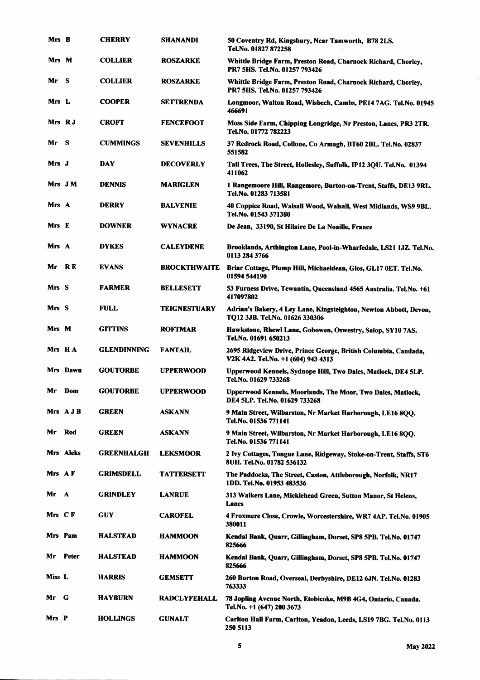| Mrs B   |           | <b>CHERRY</b>      | <b>SHANANDI</b>     | 50 Coventry Rd, Kingsbury, Near Tamworth, B78 2LS.<br>Tel.No. 01827 872258                            |
|---------|-----------|--------------------|---------------------|-------------------------------------------------------------------------------------------------------|
| Mrs M   |           | <b>COLLIER</b>     | <b>ROSZARKE</b>     | Whittle Bridge Farm, Preston Road, Charnock Richard, Chorley,<br>PR7 5HS. Tel.No. 01257 793426        |
| Mr      | - S       | <b>COLLIER</b>     | <b>ROSZARKE</b>     | Whittle Bridge Farm, Preston Road, Charnock Richard, Chorley,<br>PR7 5HS. Tel.No. 01257 793426        |
| Mrs L   |           | <b>COOPER</b>      | <b>SETTRENDA</b>    | Longmoor, Walton Road, Wisbech, Cambs, PE14 7AG. Tel.No. 01945<br>466691                              |
|         | Mrs RJ    | <b>CROFT</b>       | <b>FENCEFOOT</b>    | Moss Side Farm, Chipping Longridge, Nr Preston, Lancs, PR3 2TR.<br>Tel.No. 01772 782223               |
| Mr      | - S       | <b>CUMMINGS</b>    | <b>SEVENHILLS</b>   | 37 Redrock Road, Collone, Co Armagh, BT60 2BL. Tel.No. 02837<br>551582                                |
| Mrs J   |           | <b>DAY</b>         | <b>DECOVERLY</b>    | Tall Trees, The Street, Hollesley, Suffolk, IP12 3QU. Tel.No. 01394<br>411062                         |
|         | Mrs JM    | <b>DENNIS</b>      | <b>MARIGLEN</b>     | 1 Rangemoore Hill, Rangemore, Burton-on-Trent, Staffs, DE13 9RL.<br>Tel.No. 01283 713581              |
| Mrs A   |           | <b>DERRY</b>       | <b>BALVENIE</b>     | 40 Coppice Road, Walsall Wood, Walsall, West Midlands, WS9 9BL.<br>Tel.No. 01543 371380               |
| Mrs E   |           | <b>DOWNER</b>      | WYNACRE             | De Jean, 33190, St Hilaire De La Noaille, France                                                      |
| Mrs A   |           | <b>DYKES</b>       | <b>CALEYDENE</b>    | Brooklands, Arthington Lane, Pool-in-Wharfedale, LS21 1JZ. Tel.No.<br>0113 284 3766                   |
| Mr      | R E       | <b>EVANS</b>       | <b>BROCKTHWAITE</b> | Briar Cottage, Plump Hill, Michaeldean, Glos, GL17 0ET. Tel.No.<br>01594 544190                       |
| Mrs S   |           | <b>FARMER</b>      | <b>BELLESETT</b>    | 53 Furness Drive, Tewantin, Queensland 4565 Australia. Tel.No. +61<br>417097802                       |
| Mrs S   |           | <b>FULL</b>        | TEIGNESTUARY        | Adrian's Bakery, 4 Ley Lane, Kingsteighton, Newton Abbott, Devon,<br>TQ12 3JB. Tel.No. 01626 330306   |
| Mrs M   |           | <b>GITTINS</b>     | <b>ROFTMAR</b>      | Hawkstone, Rhewl Lane, Gobowen, Oswestry, Salop, SY10 7AS.<br>Tel.No. 01691 650213                    |
|         | Mrs HA    | <b>GLENDINNING</b> | <b>FANTAIL</b>      | 2695 Ridgeview Drive, Prince George, British Columbia, Candada,<br>V2K 4A2. Tel.No. +1 (604) 943 4313 |
|         | Mrs Dawn  | <b>GOUTORBE</b>    | <b>UPPERWOOD</b>    | Upperwood Kennels, Sydnope Hill, Two Dales, Matlock, DE4 5LP.<br>Tel.No. 01629 733268                 |
| Mr      | Dom       | <b>GOUTORBE</b>    | <b>UPPERWOOD</b>    | Upperwood Kennels, Moorlands, The Moor, Two Dales, Matlock,<br>DE4 5LP. Tel.No. 01629 733268          |
|         | Mrs AJB   | <b>GREEN</b>       | <b>ASKANN</b>       | 9 Main Street, Wilbarston, Nr Market Harborough, LE16 800.<br>Tel.No. 01536 771141                    |
| Mr      | Rod       | <b>GREEN</b>       | <b>ASKANN</b>       | 9 Main Street, Wilbarston, Nr Market Harborough, LE16 8QQ.<br>Tel.No. 01536 771141                    |
|         | Mrs Aleks | <b>GREENHALGH</b>  | <b>LEKSMOOR</b>     | 2 Ivy Cottages, Tongue Lane, Ridgeway, Stoke-on-Trent, Staffs, ST6<br>8UH. Tel.No. 01782 536132       |
| Mrs AF  |           | <b>GRIMSDELL</b>   | <b>TATTERSETT</b>   | The Paddocks, The Street, Caston, Attleborough, Norfolk, NR17<br>1DD. Tel.No. 01953 483536            |
| Mr      | A         | <b>GRINDLEY</b>    | <b>LANRUE</b>       | 313 Walkers Lane, Micklehead Green, Sutton Manor, St Helens,<br>Lancs                                 |
| Mrs CF  |           | <b>GUY</b>         | <b>CAROFEL</b>      | 4 Froxmere Close, Crowle, Worcestershire, WR7 4AP. Tel.No. 01905<br>380011                            |
| Mrs Pam |           | <b>HALSTEAD</b>    | <b>HAMMOON</b>      | Kendal Bank, Quarr, Gillingham, Dorset, SP8 5PB. Tel.No. 01747<br>825666                              |
| Mr      | Peter     | <b>HALSTEAD</b>    | <b>HAMMOON</b>      | Kendal Bank, Quarr, Gillingham, Dorset, SP8 5PB. Tel.No. 01747<br>825666                              |
| Miss L  |           | <b>HARRIS</b>      | GEMSETT             | 260 Burton Road, Overseal, Derbyshire, DE12 6JN. Tel.No. 01283<br>763333                              |
| Mr      | G         | HAYBURN            | RADCLYFEHALL        | 78 Jopling Avenue North, Etobicoke, M9B 4G4, Ontario, Canada.<br>Tel.No. +1 (647) 200 3673            |
| Mrs P   |           | <b>HOLLINGS</b>    | <b>GUNALT</b>       | Carlton Hall Farm, Carlton, Yeadon, Leeds, LS19 7BG. Tel.No. 0113<br>250 5113                         |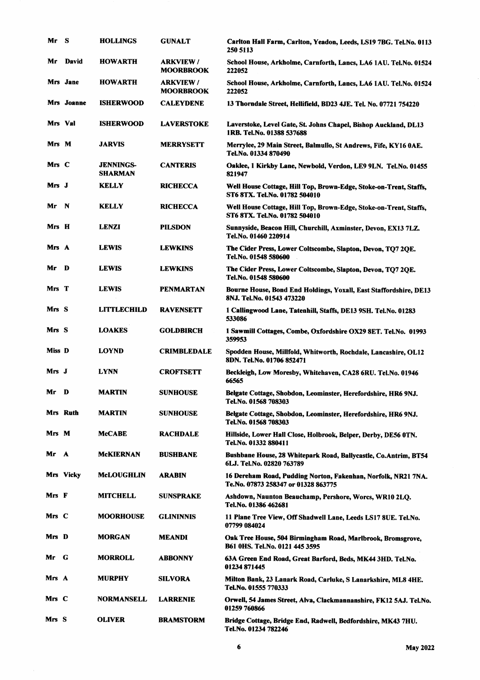| Mr      | - S            | <b>HOLLINGS</b>                    | <b>GUNALT</b>                       | Carlton Hall Farm, Carlton, Yeadon, Leeds, LS19 7BG. Tel.No. 0113<br>250 5113                        |
|---------|----------------|------------------------------------|-------------------------------------|------------------------------------------------------------------------------------------------------|
| Mr      | <b>David</b>   | <b>HOWARTH</b>                     | <b>ARKVIEW/</b><br><b>MOORBROOK</b> | School House, Arkholme, Carnforth, Lancs, LA6 1AU. Tel.No. 01524<br>222052                           |
|         | Mrs Jane       | <b>HOWARTH</b>                     | <b>ARKVIEW/</b><br><b>MOORBROOK</b> | School House, Arkholme, Carnforth, Lancs, LA6 1AU. Tel.No. 01524<br>222052                           |
|         | Mrs Joanne     | <b>ISHERWOOD</b>                   | <b>CALEYDENE</b>                    | 13 Thorndale Street, Hellifield, BD23 4JE. Tel. No. 07721 754220                                     |
| Mrs Val |                | <b>ISHERWOOD</b>                   | <b>LAVERSTOKE</b>                   | Laverstoke, Level Gate, St. Johns Chapel, Bishop Auckland, DL13<br>1RB. Tel.No. 01388 537688         |
| Mrs M   |                | <b>JARVIS</b>                      | <b>MERRYSETT</b>                    | Merrylee, 29 Main Street, Balmullo, St Andrews, Fife, KY16 0AE.<br>Tel.No. 01334 870490              |
| Mrs C   |                | <b>JENNINGS-</b><br><b>SHARMAN</b> | <b>CANTERIS</b>                     | Oaklee, 1 Kirkby Lane, Newbold, Verdon, LE9 9LN. Tel.No. 01455<br>821947                             |
| Mrs J   |                | <b>KELLY</b>                       | <b>RICHECCA</b>                     | Well House Cottage, Hill Top, Brown-Edge, Stoke-on-Trent, Staffs,<br>ST6 8TX. Tel.No. 01782 504010   |
| Mr      | $\blacksquare$ | <b>KELLY</b>                       | <b>RICHECCA</b>                     | Well House Cottage, Hill Top, Brown-Edge, Stoke-on-Trent, Staffs,<br>ST6 8TX. Tel.No. 01782 504010   |
| Mrs H   |                | <b>LENZI</b>                       | <b>PILSDON</b>                      | Sunnyside, Beacon Hill, Churchill, Axminster, Devon, EX13 7LZ.<br>Tel.No. 01460 220914               |
| Mrs A   |                | <b>LEWIS</b>                       | <b>LEWKINS</b>                      | The Cider Press, Lower Coltscombe, Slapton, Devon, TQ7 2QE.<br>Tel.No. 01548 580600                  |
| Mr      | D              | <b>LEWIS</b>                       | <b>LEWKINS</b>                      | The Cider Press, Lower Coltscombe, Slapton, Devon, TQ7 2QE.<br>Tel.No. 01548 580600                  |
| Mrs T   |                | <b>LEWIS</b>                       | <b>PENMARTAN</b>                    | Bourne House, Bond End Holdings, Yoxall, East Staffordshire, DE13<br>8NJ. Tel.No. 01543 473220       |
| Mrs S   |                | <b>LITTLECHILD</b>                 | <b>RAVENSETT</b>                    | 1 Callingwood Lane, Tatenhill, Staffs, DE13 9SH. Tel.No. 01283<br>533086                             |
| Mrs S   |                | <b>LOAKES</b>                      | <b>GOLDBIRCH</b>                    | 1 Sawmill Cottages, Combe, Oxfordshire OX29 8ET. Tel.No. 01993<br>359953                             |
| Miss D  |                | <b>LOYND</b>                       | CRIMBLEDALE                         | Spodden House, Millfold, Whitworth, Rochdale, Lancashire, OL12<br>8DN. Tel.No. 01706 852471          |
| Mrs J   |                | <b>LYNN</b>                        | <b>CROFTSETT</b>                    | Beckleigh, Low Moresby, Whitehaven, CA28 6RU. Tel.No. 01946<br>66565                                 |
| Mr D    |                | <b>MARTIN</b>                      | <b>SUNHOUSE</b>                     | Belgate Cottage, Shobdon, Leominster, Herefordshire, HR6 9NJ.<br>Tel.No. 01568 708303                |
|         | Mrs Ruth       | MARTIN                             | <b>SUNHOUSE</b>                     | Belgate Cottage, Shobdon, Leominster, Herefordshire, HR6 9NJ.<br>Tel.No. 01568 708303                |
| Mrs M   |                | McCABE                             | <b>RACHDALE</b>                     | Hillside, Lower Hall Close, Holbrook, Belper, Derby, DE56 0TN.<br>Tel.No. 01332 880411               |
| Mr      | A              | McKIERNAN                          | <b>BUSHBANE</b>                     | Bushbane House, 28 Whitepark Road, Ballycastle, Co.Antrim, BT54<br>6LJ. Tel.No. 02820 763789         |
|         | Mrs Vicky      | McLOUGHLIN                         | <b>ARABIN</b>                       | 16 Dereham Road, Pudding Norton, Fakenhan, Norfolk, NR21 7NA.<br>Te.No. 07873 258347 or 01328 863775 |
| Mrs F   |                | <b>MITCHELL</b>                    | <b>SUNSPRAKE</b>                    | Ashdown, Naunton Beauchamp, Pershore, Worcs, WR10 2LO.<br>Tel.No. 01386 462681                       |
| Mrs C   |                | <b>MOORHOUSE</b>                   | <b>GLININNIS</b>                    | 11 Plane Tree View, Off Shadwell Lane, Leeds LS17 8UE. Tel.No.<br>07799 084024                       |
| Mrs D   |                | <b>MORGAN</b>                      | <b>MEANDI</b>                       | Oak Tree House, 504 Birmingham Road, Marlbrook, Bromsgrove,<br><b>B61 0HS. Tel.No. 0121 445 3595</b> |
| Mr      | G              | <b>MORROLL</b>                     | <b>ABBONNY</b>                      | 63A Green End Road, Great Barford, Beds, MK44 3HD. Tel.No.<br>01234 871445                           |
| Mrs A   |                | MURPHY                             | <b>SILVORA</b>                      | Milton Bank, 23 Lanark Road, Carluke, S Lanarkshire, ML8 4HE.<br>Tel.No. 01555 770333                |
| Mrs C   |                | NORMANSELL                         | <b>LARRENIE</b>                     | Orwell, 54 James Street, Alva, Clackmannanshire, FK12 5AJ. Tel.No.<br>01259 760866                   |
| Mrs S   |                | OLIVER                             | <b>BRAMSTORM</b>                    | Bridge Cottage, Bridge End, Radwell, Bedfordshire, MK43 7HU.<br>Tel.No. 01234 782246                 |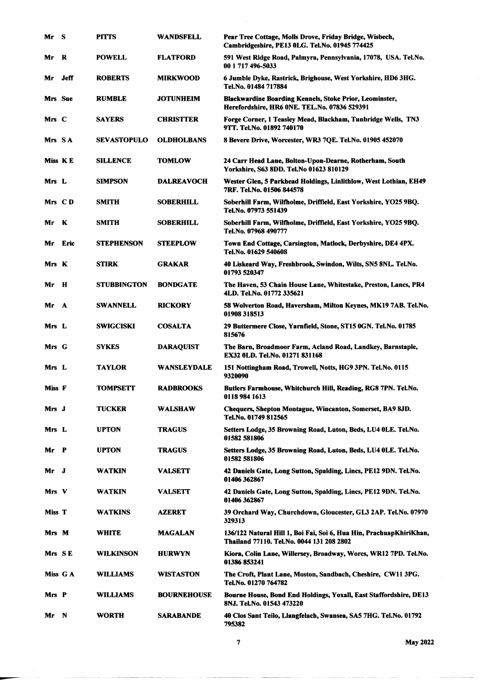| Mr      | - S          | <b>PITTS</b>       | WANDSFELL          | Pear Tree Cottage, Molls Drove, Friday Bridge, Wisbech,<br>Cambridgeshire, PE13 0LG. Tel.No. 01945 774425        |
|---------|--------------|--------------------|--------------------|------------------------------------------------------------------------------------------------------------------|
| Mr      | R            | <b>POWELL</b>      | <b>FLATFORD</b>    | 591 West Ridge Road, Palmyra, Pennsylvania, 17078, USA. Tel.No.<br>00 1 717 496-5033                             |
| Mr      | Jeff         | <b>ROBERTS</b>     | <b>MIRKWOOD</b>    | 6 Jumble Dyke, Rastrick, Brighouse, West Yorkshire, HD6 3HG.<br>Tel.No. 01484 717884                             |
| Mrs Sue |              | <b>RUMBLE</b>      | <b>JOTUNHEIM</b>   | <b>Blackwardine Boarding Kennels, Stoke Prior, Leominster,</b><br>Herefordshire, HR6 ONE. TEL.No. 07836 529391   |
| Mrs C   |              | <b>SAYERS</b>      | <b>CHRISTTER</b>   | Forge Corner, 1 Teasley Mead, Blackham, Tunbridge Wells, TN3<br>9TT. Tel.No. 01892 740170                        |
| Mrs SA  |              | <b>SEVASTOPULO</b> | <b>OLDHOLBANS</b>  | 8 Bevere Drive, Worcester, WR3 7QE. Tel.No. 01905 452070                                                         |
| Miss KE |              | <b>SILLENCE</b>    | <b>TOMLOW</b>      | 24 Carr Head Lane, Bolton-Upon-Dearne, Rotherham, South<br>Yorkshire, S63 8DD. Tel.No 01623 810129               |
| Mrs L   |              | <b>SIMPSON</b>     | <b>DALREAVOCH</b>  | Wester Glen, 5 Parkhead Holdings, Linlithlow, West Lothian, EH49<br>7RF. Tel.No. 01506 844578                    |
| Mrs CD  |              | <b>SMITH</b>       | <b>SOBERHILL</b>   | Soberhill Farm, Wilfholme, Driffield, East Yorkshire, YO25 9BQ.<br>Tel.No. 07973 551439                          |
| Mr      | - K          | <b>SMITH</b>       | <b>SOBERHILL</b>   | Soberhill Farm, Wilfholme, Driffield, East Yorkshire, YO25 9BQ.<br>Tel.No. 07968 490777                          |
| Mr      | Eric         | <b>STEPHENSON</b>  | <b>STEEPLOW</b>    | Town End Cottage, Carsington, Matlock, Derbyshire, DE4 4PX.<br>Tel.No. 01629 540608                              |
| Mrs K   |              | <b>STIRK</b>       | <b>GRAKAR</b>      | 40 Liskeard Way, Freshbrook, Swindon, Wilts, SN5 8NL. Tel.No.<br>01793 520347                                    |
| Mr      | Н            | <b>STUBBINGTON</b> | <b>BONDGATE</b>    | The Haven, 53 Chain House Lane, Whitestake, Preston, Lancs, PR4<br>4LD. Tel.No. 01772 335621                     |
| Mr      | A            | <b>SWANNELL</b>    | <b>RICKORY</b>     | 58 Wolverton Road, Haversham, Milton Keynes, MK19 7AB. Tel.No.<br>01908 318513                                   |
| Mrs L   |              | <b>SWIGCISKI</b>   | <b>COSALTA</b>     | 29 Buttermere Close, Yarnfield, Stone, ST15 0GN. Tel.No. 01785<br>815676                                         |
| Mrs G   |              | <b>SYKES</b>       | <b>DARAQUIST</b>   | The Barn, Broadmoor Farm, Acland Road, Landkey, Barnstaple,<br><b>EX32 OLD. Tel.No. 01271 831168</b>             |
| Mrs L   |              | <b>TAYLOR</b>      | WANSLEYDALE        | 151 Nottingham Road, Trowell, Notts, HG9 3PN. Tel.No. 0115<br>9320090                                            |
| Miss F  |              | <b>TOMPSETT</b>    | <b>RADBROOKS</b>   | Butlers Farmhouse, Whitchurch Hill, Reading, RG8 7PN. Tel.No.<br>0118 984 1613                                   |
| Mrs J   |              | <b>TUCKER</b>      | <b>WALSHAW</b>     | Chequers, Shepton Montague, Wincanton, Somerset, BA9 8JD.<br>Tel.No. 01749 812565                                |
| Mrs L   |              | <b>UPTON</b>       | <b>TRAGUS</b>      | Setters Lodge, 35 Browning Road, Luton, Beds, LU4 OLE. Tel.No.<br>01582 581806                                   |
| Mr      | $\mathbf{P}$ | <b>UPTON</b>       | <b>TRAGUS</b>      | Setters Lodge, 35 Browning Road, Luton, Beds, LU4 OLE. Tel.No.<br>01582 581806                                   |
| Mr      | J            | WATKIN             | <b>VALSETT</b>     | 42 Daniels Gate, Long Sutton, Spalding, Lincs, PE12 9DN. Tel.No.<br>01406 362867                                 |
| Mrs V   |              | <b>WATKIN</b>      | <b>VALSETT</b>     | 42 Daniels Gate, Long Sutton, Spalding, Lincs, PE12 9DN. Tel.No.<br>01406 362867                                 |
| Miss T  |              | <b>WATKINS</b>     | <b>AZERET</b>      | 39 Orchard Way, Churchdown, Gloucester, GL3 2AP. Tel.No. 07970<br>329313                                         |
| Mrs M   |              | <b>WHITE</b>       | <b>MAGALAN</b>     | 136/122 Natural Hill 1, Boi Fai, Soi 6, Hua Hin, PrachuapKhiriKhan,<br>Thailand 77110. Tel.No. 0044 131 208 2802 |
| Mrs SE  |              | WILKINSON          | <b>HURWYN</b>      | Kiora, Colin Lane, Willersey, Broadway, Worcs, WR12 7PD. Tel.No.<br>01386 853241                                 |
|         | Miss G A     | <b>WILLIAMS</b>    | WISTASTON          | The Croft, Plant Lane, Moston, Sandbach, Cheshire, CW11 3PG.<br>Tel.No. 01270 764782                             |
| Mrs P   |              | <b>WILLIAMS</b>    | <b>BOURNEHOUSE</b> | Bourne House, Bond End Holdings, Yoxall, East Staffordshire, DE13<br>8NJ. Tel.No. 01543 473220                   |
| Mr.     | – N          | <b>WORTH</b>       | <b>SARABANDE</b>   | 40 Clos Sant Teilo, Llangfelach, Swansea, SA5 7HG. Tel.No. 01792<br>795382                                       |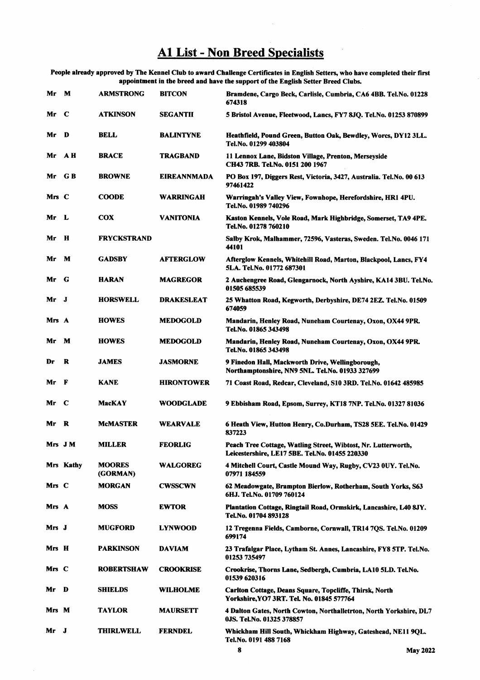## **A1 List - Non Breed Specialists**

People already approved by The Kennel Club to award Challenge Certificates in English Setters, who have completed their first appointment in the breed and have the support of the English Setter Breed Clubs.

| Mr     | M           | <b>ARMSTRONG</b>          | <b>BITCON</b>      | Bramdene, Cargo Beck, Carlisle, Cumbria, CA6 4BB. Tel.No. 01228<br>674318                                       |
|--------|-------------|---------------------------|--------------------|-----------------------------------------------------------------------------------------------------------------|
| Mr     | $\mathbf C$ | <b>ATKINSON</b>           | <b>SEGANTII</b>    | 5 Bristol Avenue, Fleetwood, Lancs, FY7 8JQ. Tel.No. 01253 870899                                               |
| Mr     | D           | <b>BELL</b>               | <b>BALINTYNE</b>   | Heathfield, Pound Green, Button Oak, Bewdley, Worcs, DY12 3LL.<br>Tel.No. 01299 403804                          |
| Mr     | AН          | <b>BRACE</b>              | TRAGBAND           | 11 Lennox Lane, Bidston Village, Prenton, Merseyside<br>CH43 7RB. Tel.No. 0151 200 1967                         |
| Mr     | G B         | <b>BROWNE</b>             | <b>EIREANNMADA</b> | PO Box 197, Diggers Rest, Victoria, 3427, Australia. Tel.No. 00 613<br>97461422                                 |
| Mrs C  |             | <b>COODE</b>              | <b>WARRINGAH</b>   | Warringah's Valley View, Fownhope, Herefordshire, HR1 4PU.<br>Tel.No. 01989 740296                              |
| Mr     | - L         | <b>COX</b>                | <b>VANITONIA</b>   | Kaston Kennels, Vole Road, Mark Highbridge, Somerset, TA9 4PE.<br>Tel.No. 01278 760210                          |
| Mr     | H           | <b>FRYCKSTRAND</b>        |                    | Salby Krok, Malhammer, 72596, Vasteras, Sweden. Tel.No. 0046 171<br>44101                                       |
| Mr     | M           | <b>GADSBY</b>             | <b>AFTERGLOW</b>   | Afterglow Kennels, Whitehill Road, Marton, Blackpool, Lancs, FY4<br>5LA. Tel.No. 01772 687301                   |
| Mr     | - G         | <b>HARAN</b>              | <b>MAGREGOR</b>    | 2 Auchengree Road, Glengarnock, North Ayshire, KA14 3BU. Tel.No.<br>01505 685539                                |
| Mr     | J           | <b>HORSWELL</b>           | <b>DRAKESLEAT</b>  | 25 Whatton Road, Kegworth, Derbyshire, DE74 2EZ. Tel.No. 01509<br>674059                                        |
| Mrs A  |             | <b>HOWES</b>              | <b>MEDOGOLD</b>    | Mandarin, Henley Road, Nuneham Courtenay, Oxon, OX44 9PR.<br>Tel.No. 01865 343498                               |
| Mr     | M           | <b>HOWES</b>              | <b>MEDOGOLD</b>    | Mandarin, Henley Road, Nuneham Courtenay, Oxon, OX44 9PR.<br>Tel.No. 01865 343498                               |
| Dr     | R           | <b>JAMES</b>              | <b>JASMORNE</b>    | 9 Finedon Hall, Mackworth Drive, Wellingborough,<br>Northamptonshire, NN9 5NL. Tel.No. 01933 327699             |
| Mr     | F           | <b>KANE</b>               | <b>HIRONTOWER</b>  | 71 Coast Road, Redcar, Cleveland, S10 3RD. Tel.No. 01642 485985                                                 |
| Mr     | C           | MacKAY                    | <b>WOODGLADE</b>   | 9 Ebbisham Road, Epsom, Surrey, KT18 7NP. Tel.No. 01327 81036                                                   |
| Mr     | R           | <b>McMASTER</b>           | WEARVALE           | 6 Heath View, Hutton Henry, Co.Durham, TS28 5EE. Tel.No. 01429<br>837223                                        |
| Mrs JM |             | <b>MILLER</b>             | <b>FEORLIG</b>     | Peach Tree Cottage, Watling Street, Wibtost, Nr. Lutterworth,<br>Leicestershire, LE17 5BE. Tel.No. 01455 220330 |
|        | Mrs Kathy   | <b>MOORES</b><br>(GORMAN) | <b>WALGOREG</b>    | 4 Mitchell Court, Castle Mound Way, Rugby, CV23 0UY. Tel.No.<br>07971 184559                                    |
| Mrs C  |             | <b>MORGAN</b>             | <b>CWSSCWN</b>     | 62 Meadowgate, Brampton Bierlow, Rotherham, South Yorks, S63<br>6HJ. Tel.No. 01709 760124                       |
| Mrs A  |             | <b>MOSS</b>               | <b>EWTOR</b>       | Plantation Cottage, Ringtail Road, Ormskirk, Lancashire, L40 8JY.<br>Tel.No. 01704 893128                       |
| Mrs J  |             | <b>MUGFORD</b>            | <b>LYNWOOD</b>     | 12 Tregenna Fields, Camborne, Cornwall, TR14 7OS. Tel.No. 01209<br>699174                                       |
| Mrs H  |             | <b>PARKINSON</b>          | <b>DAVIAM</b>      | 23 Trafalgar Place, Lytham St. Annes, Lancashire, FY8 5TP. Tel.No.<br>01253 735497                              |
| Mrs C  |             | <b>ROBERTSHAW</b>         | <b>CROOKRISE</b>   | Crookrise, Thorns Lane, Sedbergh, Cumbria, LA10 5LD. Tel.No.<br>01539 620316                                    |
| Mr     | D           | <b>SHIELDS</b>            | <b>WILHOLME</b>    | Carlton Cottage, Deans Square, Topcliffe, Thirsk, North<br>Yorkshire, YO7 3RT. Tel. No. 01845 577764            |
| Mrs M  |             | <b>TAYLOR</b>             | <b>MAURSETT</b>    | 4 Dalton Gates, North Cowton, Northalletrton, North Yorkshire, DL7<br>0JS. Tel.No. 01325 378857                 |
| Mr     | J           | <b>THIRLWELL</b>          | <b>FERNDEL</b>     | Whickham Hill South, Whickham Highway, Gateshead, NE11 9QL.<br>Tel.No. 0191 488 7168                            |